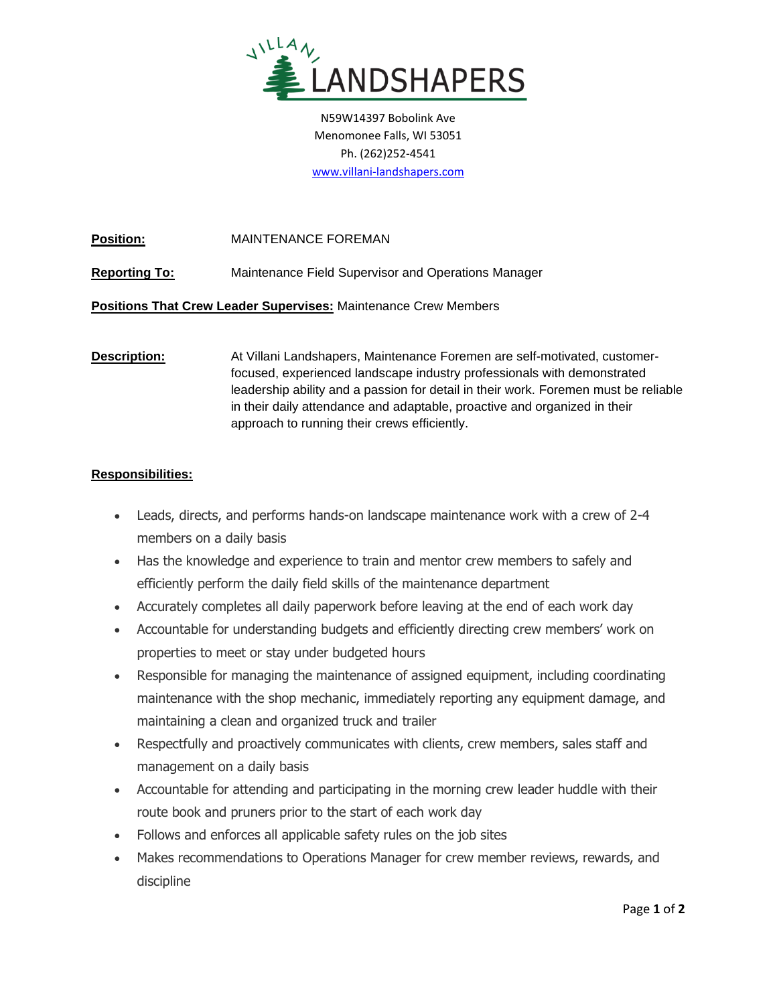

N59W14397 Bobolink Ave Menomonee Falls, WI 53051 Ph. (262)252-4541 [www.villani-landshapers.com](http://www.villani-landshapers.com/)

**Position:** MAINTENANCE FOREMAN

**Reporting To:** Maintenance Field Supervisor and Operations Manager

**Positions That Crew Leader Supervises:** Maintenance Crew Members

**Description:** At Villani Landshapers, Maintenance Foremen are self-motivated, customerfocused, experienced landscape industry professionals with demonstrated leadership ability and a passion for detail in their work. Foremen must be reliable in their daily attendance and adaptable, proactive and organized in their approach to running their crews efficiently.

## **Responsibilities:**

- Leads, directs, and performs hands-on landscape maintenance work with a crew of 2-4 members on a daily basis
- Has the knowledge and experience to train and mentor crew members to safely and efficiently perform the daily field skills of the maintenance department
- Accurately completes all daily paperwork before leaving at the end of each work day
- Accountable for understanding budgets and efficiently directing crew members' work on properties to meet or stay under budgeted hours
- Responsible for managing the maintenance of assigned equipment, including coordinating maintenance with the shop mechanic, immediately reporting any equipment damage, and maintaining a clean and organized truck and trailer
- Respectfully and proactively communicates with clients, crew members, sales staff and management on a daily basis
- Accountable for attending and participating in the morning crew leader huddle with their route book and pruners prior to the start of each work day
- Follows and enforces all applicable safety rules on the job sites
- Makes recommendations to Operations Manager for crew member reviews, rewards, and discipline